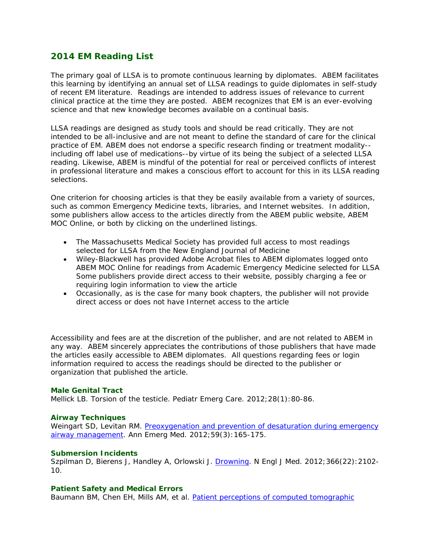# **2014 EM Reading List**

The primary goal of LLSA is to promote continuous learning by diplomates. ABEM facilitates this learning by identifying an annual set of LLSA readings to guide diplomates in self-study of recent EM literature. Readings are intended to address issues of relevance to current clinical practice at the time they are posted. ABEM recognizes that EM is an ever-evolving science and that new knowledge becomes available on a continual basis.

LLSA readings are designed as study tools and should be read critically. They are not intended to be all-inclusive and are not meant to define the standard of care for the clinical practice of EM. ABEM does not endorse a specific research finding or treatment modality- including off label use of medications--by virtue of its being the subject of a selected LLSA reading. Likewise, ABEM is mindful of the potential for real or perceived conflicts of interest in professional literature and makes a conscious effort to account for this in its LLSA reading selections.

One criterion for choosing articles is that they be easily available from a variety of sources, such as common Emergency Medicine texts, libraries, and Internet websites. In addition, some publishers allow access to the articles directly from the ABEM public website, ABEM MOC Online, or both by clicking on the underlined listings.

- The Massachusetts Medical Society has provided full access to most readings selected for LLSA from the *New England Journal of Medicine*
- Wiley-Blackwell has provided Adobe Acrobat files to ABEM diplomates logged onto ABEM MOC Online for readings from *Academic Emergency Medicine* selected for LLSA Some publishers provide direct access to their website, possibly charging a fee or requiring login information to view the article
- Occasionally, as is the case for many book chapters, the publisher will not provide direct access or does not have Internet access to the article

Accessibility and fees are at the discretion of the publisher, and are not related to ABEM in any way. ABEM sincerely appreciates the contributions of those publishers that have made the articles easily accessible to ABEM diplomates. All questions regarding fees or login information required to access the readings should be directed to the publisher or organization that published the article.

## **Male Genital Tract**

Mellick LB. Torsion of the testicle. *Pediatr Emerg Care*. 2012;28(1):80-86.

## **Airway Techniques**

Weingart SD, Levitan RM. Preoxygenation and prevention of desaturation during emergency airway management. *Ann Emerg Med*. 2012;59(3):165-175.

# **Submersion Incidents**

Szpilman D, Bierens J, Handley A, Orlowski J. Drowning. *N Engl J Med*. 2012;366(22):2102- 10.

## **Patient Safety and Medical Errors**

Baumann BM, Chen EH, Mills AM, et al. Patient perceptions of computed tomographic